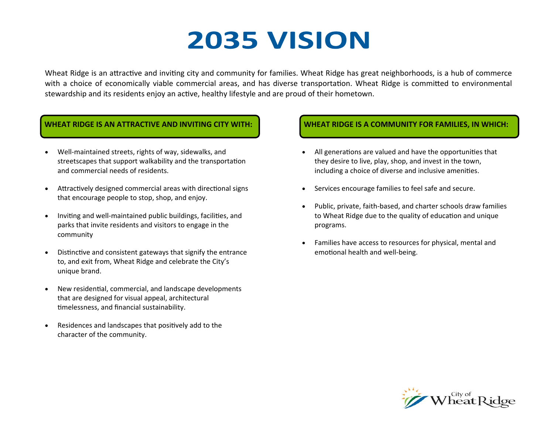# **2035 VISION**

Wheat Ridge is an attractive and inviting city and community for families. Wheat Ridge has great neighborhoods, is a hub of commerce with a choice of economically viable commercial areas, and has diverse transportation. Wheat Ridge is committed to environmental stewardship and its residents enjoy an active, healthy lifestyle and are proud of their hometown.

#### **WHEAT RIDGE IS AN ATTRACTIVE AND INVITING CITY WITH:**

- $\bullet$ Well-maintained streets, rights of way, sidewalks, and streetscapes that support walkability and the transportation and commercial needs of residents.
- $\bullet$ Attractively designed commercial areas with directional signs that encourage people to stop, shop, and enjoy.
- $\bullet$ Inviting and well-maintained public buildings, facilities, and parks that invite residents and visitors to engage in the community
- $\bullet$ Distinctive and consistent gateways that signify the entrance to, and exit from, Wheat Ridge and celebrate the City's unique brand.
- $\bullet$ New residential, commercial, and landscape developments that are designed for visual appeal, architectural timelessness, and financial sustainability.
- $\bullet$ Residences and landscapes that positively add to the character of the community.

#### **WHEAT RIDGE IS A COMMUNITY FOR FAMILIES, IN WHICH:**

- $\bullet$ All generations are valued and have the opportunities that they desire to live, play, shop, and invest in the town, including a choice of diverse and inclusive amenities.
- $\bullet$ Services encourage families to feel safe and secure.
- . Public, private, faith‐based, and charter schools draw families to Wheat Ridge due to the quality of education and unique programs.
- $\bullet$  Families have access to resources for physical, mental and emotional health and well-being.

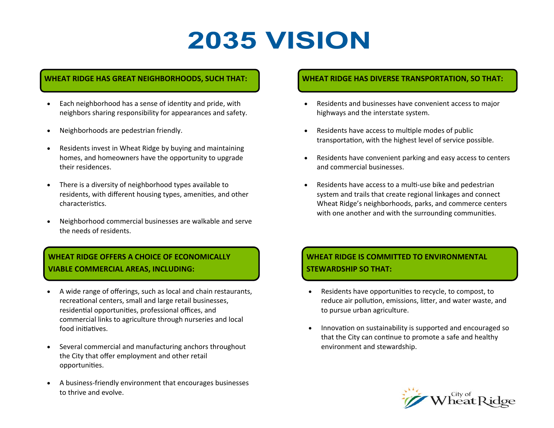# **2035 VISION**

#### **WHEAT RIDGE HAS GREAT NEIGHBORHOODS, SUCH THAT:**

- $\bullet$  Each neighborhood has a sense of idenƟty and pride, with neighbors sharing responsibility for appearances and safety.
- $\bullet$ Neighborhoods are pedestrian friendly.
- $\bullet$  Residents invest in Wheat Ridge by buying and maintaining homes, and homeowners have the opportunity to upgrade their residences.
- There is a diversity of neighborhood types available to residents, with different housing types, amenities, and other characteristics.
- $\bullet$  Neighborhood commercial businesses are walkable and serve the needs of residents.

### **WHEAT RIDGE OFFERS A CHOICE OF ECONOMICALLY VIABLE COMMERCIAL AREAS, INCLUDING:**

- $\bullet$  A wide range of offerings, such as local and chain restaurants, recreational centers, small and large retail businesses, residential opportunities, professional offices, and commercial links to agriculture through nurseries and local food initiatives.
- $\bullet$  Several commercial and manufacturing anchors throughout the City that offer employment and other retail opportuniƟes.
- $\bullet$  A business‐friendly environment that encourages businesses to thrive and evolve.

#### **WHEAT RIDGE HAS DIVERSE TRANSPORTATION, SO THAT:**

- $\bullet$  Residents and businesses have convenient access to major highways and the interstate system.
- $\bullet$ Residents have access to multiple modes of public transportation, with the highest level of service possible.
- $\bullet$  Residents have convenient parking and easy access to centers and commercial businesses.
- $\bullet$ Residents have access to a multi-use bike and pedestrian system and trails that create regional linkages and connect Wheat Ridge's neighborhoods, parks, and commerce centers with one another and with the surrounding communities.

## **WHEAT RIDGE IS COMMITTED TO ENVIRONMENTAL STEWARDSHIP SO THAT:**

- Residents have opportunities to recycle, to compost, to reduce air pollution, emissions, litter, and water waste, and to pursue urban agriculture.
- $\bullet$ Innovation on sustainability is supported and encouraged so that the City can continue to promote a safe and healthy environment and stewardship.